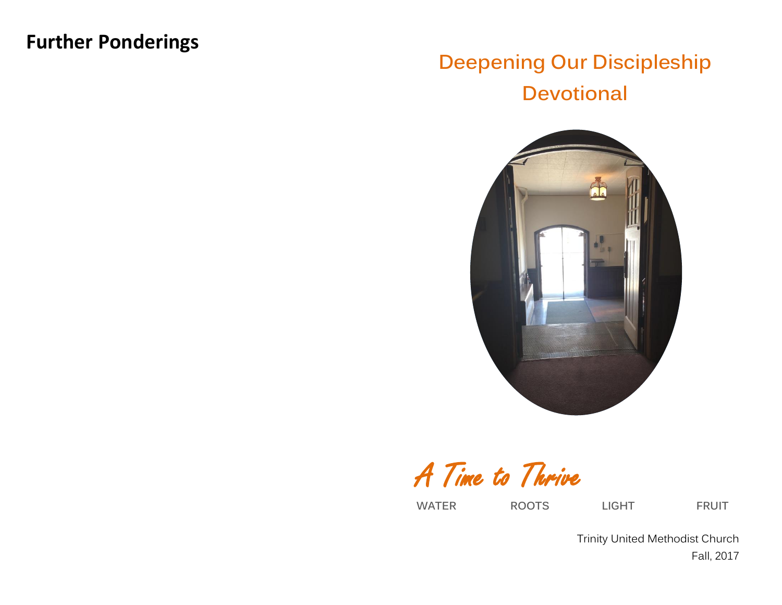# **Further Ponderings**

# **Deepening Our Discipleship Devotional**



A Time to Thrive

**WATER ROOTS LIGHT FRUIT**

Trinity United Methodist Church Fall, 2017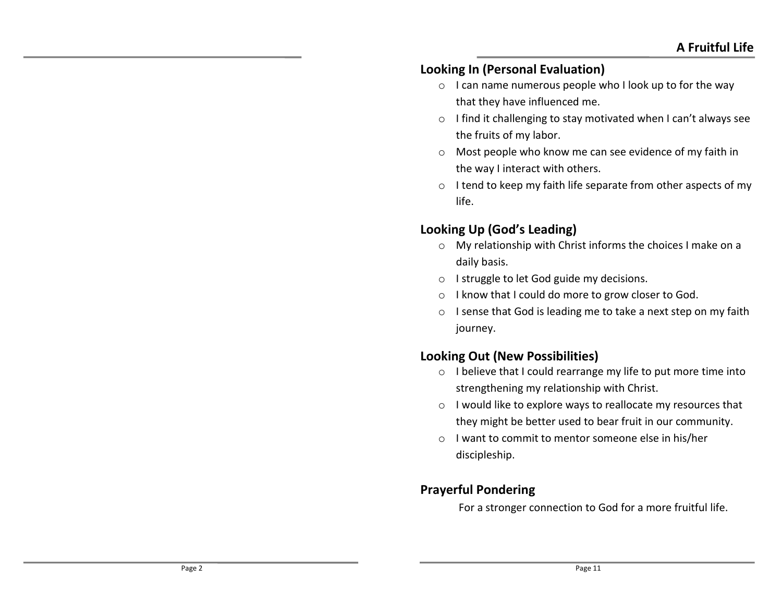#### **Looking In (Personal Evaluation)**

- o I can name numerous people who I look up to for the way that they have influenced me.
- o I find it challenging to stay motivated when I can't always see the fruits of my labor.
- o Most people who know me can see evidence of my faith in the way I interact with others.
- o I tend to keep my faith life separate from other aspects of my life.

# **Looking Up (God's Leading)**

- o My relationship with Christ informs the choices I make on a daily basis.
- o I struggle to let God guide my decisions.
- o I know that I could do more to grow closer to God.
- o I sense that God is leading me to take a next step on my faith journey.

# **Looking Out (New Possibilities)**

- o I believe that I could rearrange my life to put more time into strengthening my relationship with Christ.
- o I would like to explore ways to reallocate my resources that they might be better used to bear fruit in our community.
- o I want to commit to mentor someone else in his/her discipleship.

# **Prayerful Pondering**

For a stronger connection to God for a more fruitful life.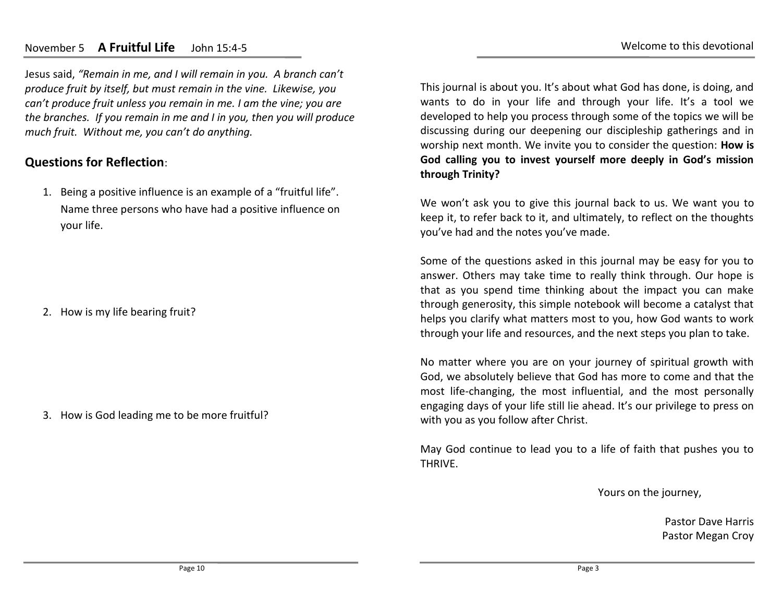#### November 5 **A Fruitful Life** John 15:4-5

Jesus said, *"Remain in me, and I will remain in you. A branch can't produce fruit by itself, but must remain in the vine. Likewise, you can't produce fruit unless you remain in me. I am the vine; you are the branches. If you remain in me and I in you, then you will produce much fruit. Without me, you can't do anything.*

#### **Questions for Reflection**:

1. Being a positive influence is an example of a "fruitful life". Name three persons who have had a positive influence on your life.

2. How is my life bearing fruit?

3. How is God leading me to be more fruitful?

This journal is about you. It's about what God has done, is doing, and wants to do in your life and through your life. It's a tool we developed to help you process through some of the topics we will be discussing during our deepening our discipleship gatherings and in worship next month. We invite you to consider the question: **How is God calling you to invest yourself more deeply in God's mission through Trinity?**

We won't ask you to give this journal back to us. We want you to keep it, to refer back to it, and ultimately, to reflect on the thoughts you've had and the notes you've made.

Some of the questions asked in this journal may be easy for you to answer. Others may take time to really think through. Our hope is that as you spend time thinking about the impact you can make through generosity, this simple notebook will become a catalyst that helps you clarify what matters most to you, how God wants to work through your life and resources, and the next steps you plan to take.

No matter where you are on your journey of spiritual growth with God, we absolutely believe that God has more to come and that the most life-changing, the most influential, and the most personally engaging days of your life still lie ahead. It's our privilege to press on with you as you follow after Christ.

May God continue to lead you to a life of faith that pushes you to THRIVE.

Yours on the journey,

Pastor Dave Harris Pastor Megan Croy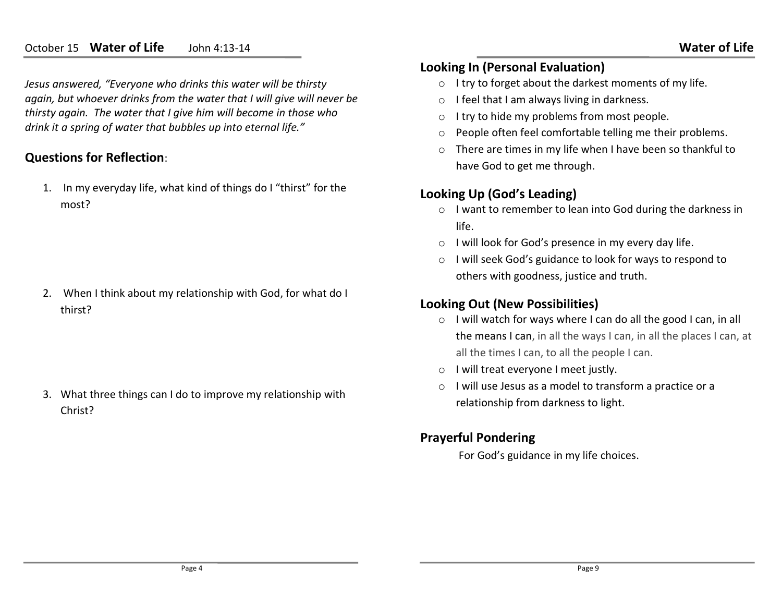#### October 15 **Water of Life** John 4:13-14

*Jesus answered, "Everyone who drinks this water will be thirsty again, but whoever drinks from the water that I will give will never be thirsty again. The water that I give him will become in those who drink it a spring of water that bubbles up into eternal life."*

#### **Questions for Reflection**:

1. In my everyday life, what kind of things do I "thirst" for the most?

2. When I think about my relationship with God, for what do I thirst?

3. What three things can I do to improve my relationship with Christ?

#### **Looking In (Personal Evaluation)**

- o I try to forget about the darkest moments of my life.
- o I feel that I am always living in darkness.
- o I try to hide my problems from most people.
- o People often feel comfortable telling me their problems.
- o There are times in my life when I have been so thankful to have God to get me through.

#### **Looking Up (God's Leading)**

- o I want to remember to lean into God during the darkness in life.
- o I will look for God's presence in my every day life.
- o I will seek God's guidance to look for ways to respond to others with goodness, justice and truth.

## **Looking Out (New Possibilities)**

- o I will watch for ways where I can do all the good I can, in all the means I can, in all the ways I can, in all the places I can, at all the times I can, to all the people I can.
- o I will treat everyone I meet justly.
- o I will use Jesus as a model to transform a practice or a relationship from darkness to light.

## **Prayerful Pondering**

For God's guidance in my life choices.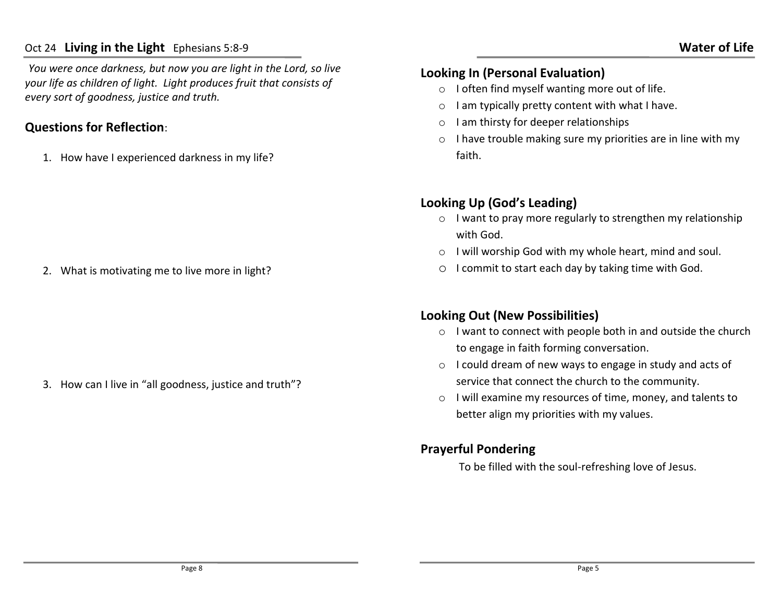#### Oct 24 **Living in the Light** Ephesians 5:8-9

*You were once darkness, but now you are light in the Lord, so live your life as children of light. Light produces fruit that consists of every sort of goodness, justice and truth.* 

#### **Questions for Reflection**:

1. How have I experienced darkness in my life?

2. What is motivating me to live more in light?

3. How can I live in "all goodness, justice and truth"?

#### **Looking In (Personal Evaluation)**

- o I often find myself wanting more out of life.
- $\circ$  I am typically pretty content with what I have.
- o I am thirsty for deeper relationships
- o I have trouble making sure my priorities are in line with my faith.

# **Looking Up (God's Leading)**

- o I want to pray more regularly to strengthen my relationship with God.
- o I will worship God with my whole heart, mind and soul.
- o I commit to start each day by taking time with God.

# **Looking Out (New Possibilities)**

- o I want to connect with people both in and outside the church to engage in faith forming conversation.
- o I could dream of new ways to engage in study and acts of service that connect the church to the community.
- o I will examine my resources of time, money, and talents to better align my priorities with my values.

## **Prayerful Pondering**

To be filled with the soul-refreshing love of Jesus.